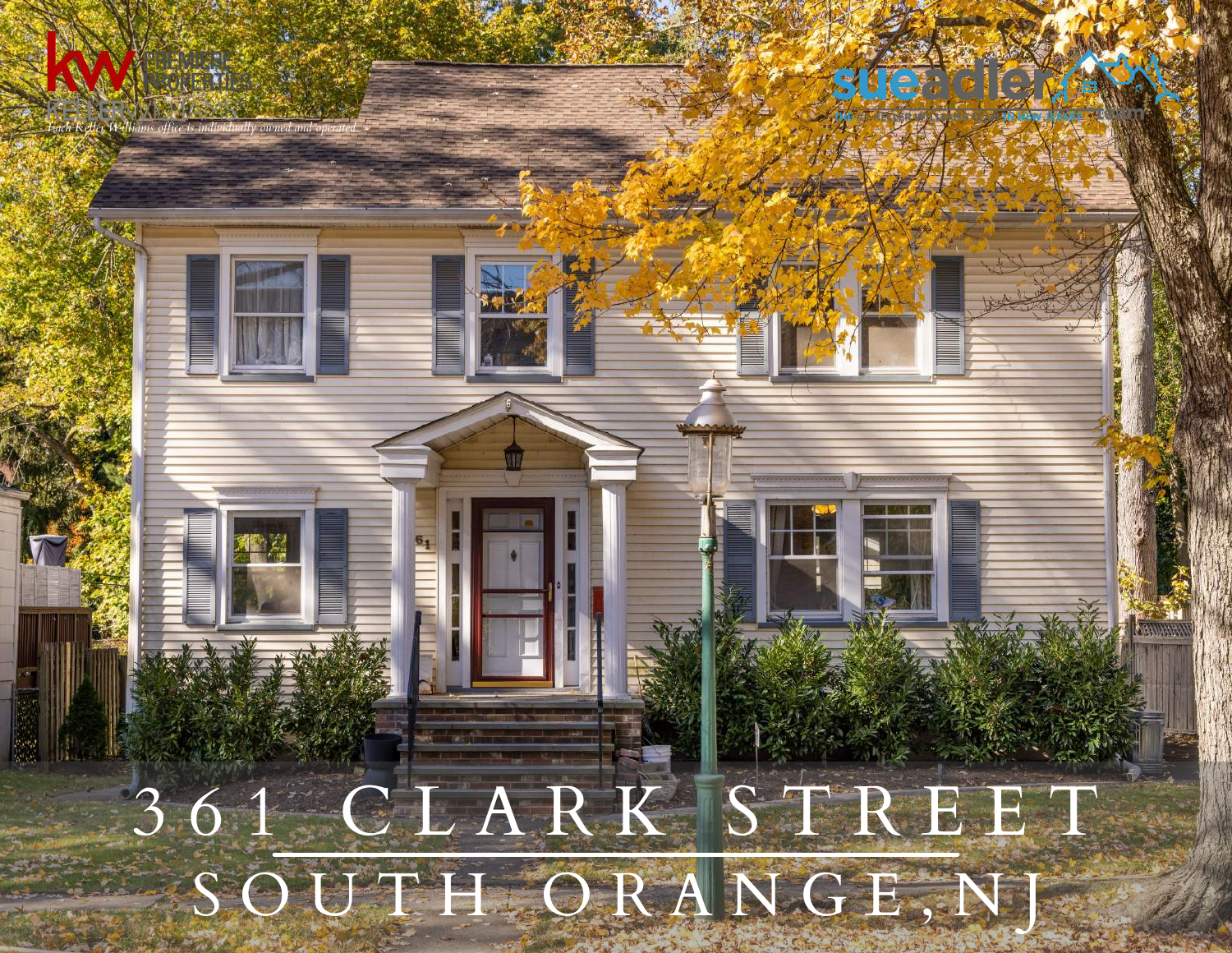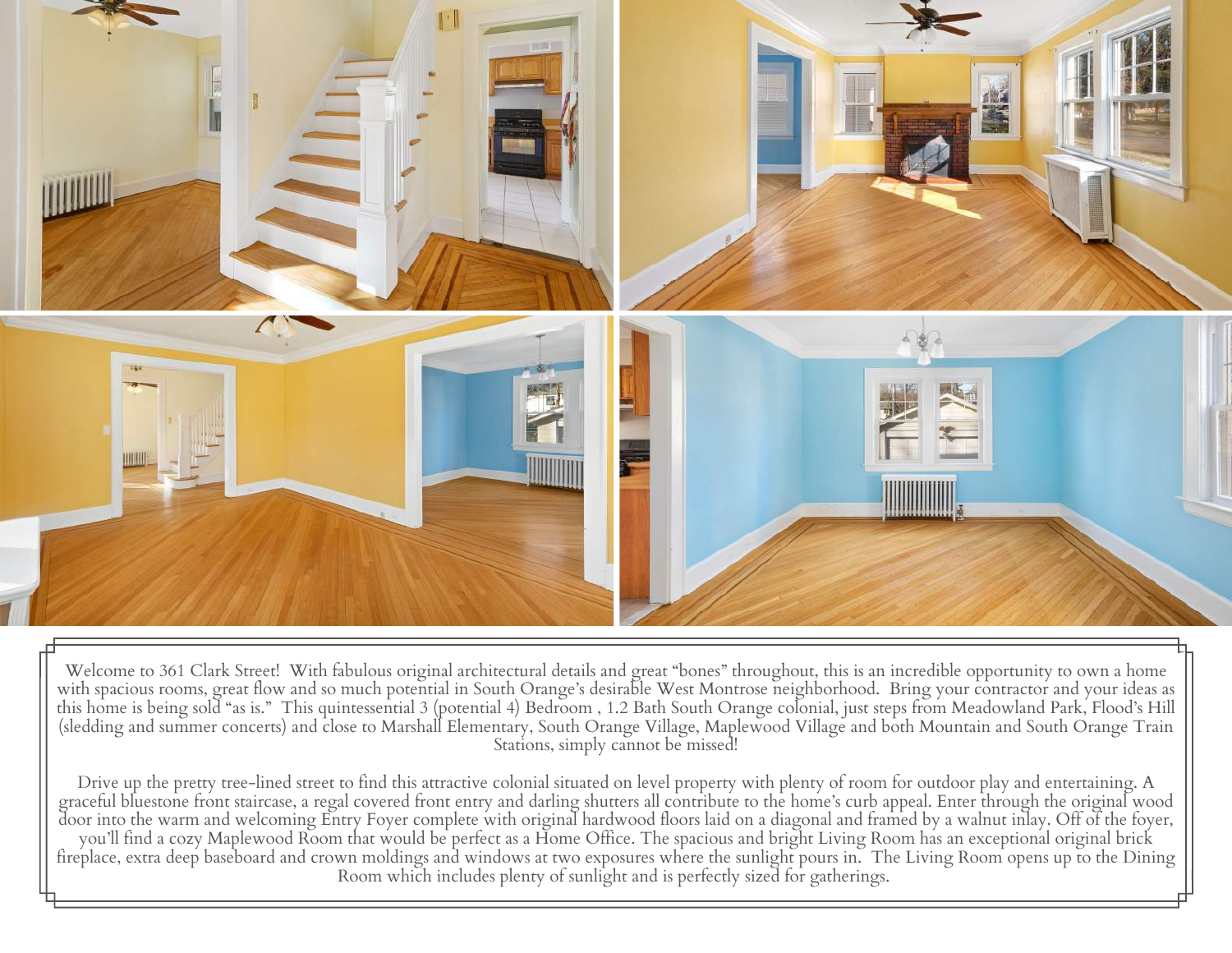

Welcome to 361 Clark Street! With fabulous original architectural details and great "bones" throughout, this is an incredible opportunity to own a home with spacious rooms, great flow and so much potential in South Orange's desirable West Montrose neighborhood. Bring your contractor and your ideas as this home is being sold "as is." This quintessential 3 (potential 4) Bedroom , 1.2 Bath South Orange colonial, just steps from Meadowland Park, Flood's Hill (sledding and summer concerts) and close to Marshall Elementary, South Orange Village, Maplewood Village and both Mountain and South Orange Train Stations, simply cannot be missed!

Drive up the pretty tree-lined street to find this attractive colonial situated on level property with plenty of room for outdoor play and entertaining. A graceful bluestone front staircase, a regal covered front entry and darling shutters all contribute to the home's curb appeal. Enter through the original wood door into the warm and welcoming Entry Foyer complete with original hardwood floors laid on a diagonal and framed by a walnut inlay. Off of the foyer, you'll find a cozy Maplewood Room that would be perfect as a Home Office. The spacious and bright Living Room has an exceptional original brick fireplace, extra deep baseboard and crown moldings and windows at two exposures where the sunlight pours in. The Living Room opens up to the Dining Room which includes plenty of sunlight and is perfectly sized for gatherings.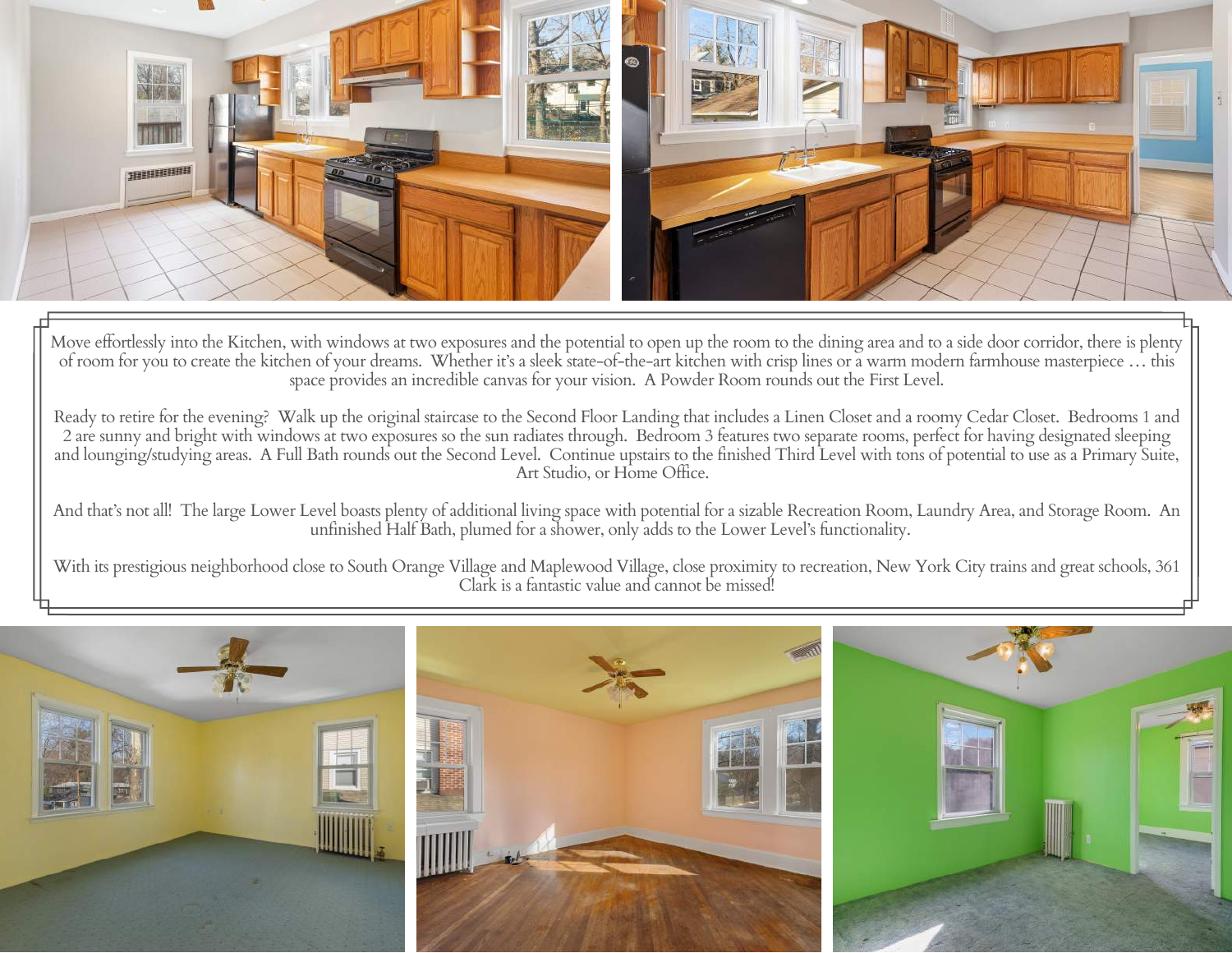

Move effortlessly into the Kitchen, with windows at two exposures and the potential to open up the room to the dining area and to a side door corridor, there is plenty of room for you to create the kitchen of your dreams. Whether it's a sleek state-of-the-art kitchen with crisp lines or a warm modern farmhouse masterpiece … this space provides an incredible canvas for your vision. A Powder Room rounds out the First Level.

Ready to retire for the evening? Walk up the original staircase to the Second Floor Landing that includes a Linen Closet and a roomy Cedar Closet. Bedrooms 1 and 2 are sunny and bright with windows at two exposures so the sun radiates through. Bedroom 3 features two separate rooms, perfect for having designated sleeping and lounging/studying areas. A Full Bath rounds out the Second Level. Continue upstairs to the finished Third Level with tons of potential to use as a Primary Suite, Art Studio, or Home Office.

And that's not all! The large Lower Level boasts plenty of additional living space with potential for a sizable Recreation Room, Laundry Area, and Storage Room. An unfinished Half Bath, plumed for a shower, only adds to the Lower Level's functionality.

With its prestigious neighborhood close to South Orange Village and Maplewood Village, close proximity to recreation, New York City trains and great schools, 361 Clark is a fantastic value and cannot be missed!